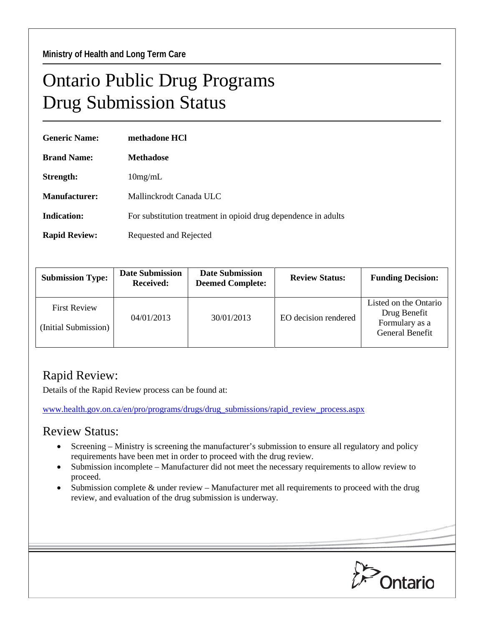## Ontario Public Drug Programs Drug Submission Status

| <b>Generic Name:</b> | methadone HCl                                                  |  |  |
|----------------------|----------------------------------------------------------------|--|--|
| <b>Brand Name:</b>   | <b>Methadose</b>                                               |  |  |
| Strength:            | $10$ mg/mL                                                     |  |  |
| Manufacturer:        | Mallinckrodt Canada ULC                                        |  |  |
| Indication:          | For substitution treatment in opioid drug dependence in adults |  |  |
| <b>Rapid Review:</b> | Requested and Rejected                                         |  |  |

| <b>Submission Type:</b>                     | <b>Date Submission</b><br><b>Received:</b> | <b>Date Submission</b><br><b>Deemed Complete:</b> | <b>Review Status:</b> | <b>Funding Decision:</b>                                                   |
|---------------------------------------------|--------------------------------------------|---------------------------------------------------|-----------------------|----------------------------------------------------------------------------|
| <b>First Review</b><br>(Initial Submission) | 04/01/2013                                 | 30/01/2013                                        | EO decision rendered  | Listed on the Ontario<br>Drug Benefit<br>Formulary as a<br>General Benefit |

## Rapid Review:

Details of the Rapid Review process can be found at:

[www.health.gov.on.ca/en/pro/programs/drugs/drug\\_submissions/rapid\\_review\\_process.aspx](http://www.health.gov.on.ca/en/pro/programs/drugs/drug_submissions/rapid_review_process.aspx)

## Review Status:

- Screening Ministry is screening the manufacturer's submission to ensure all regulatory and policy requirements have been met in order to proceed with the drug review.
- Submission incomplete Manufacturer did not meet the necessary requirements to allow review to proceed.
- Submission complete  $\&$  under review Manufacturer met all requirements to proceed with the drug review, and evaluation of the drug submission is underway.